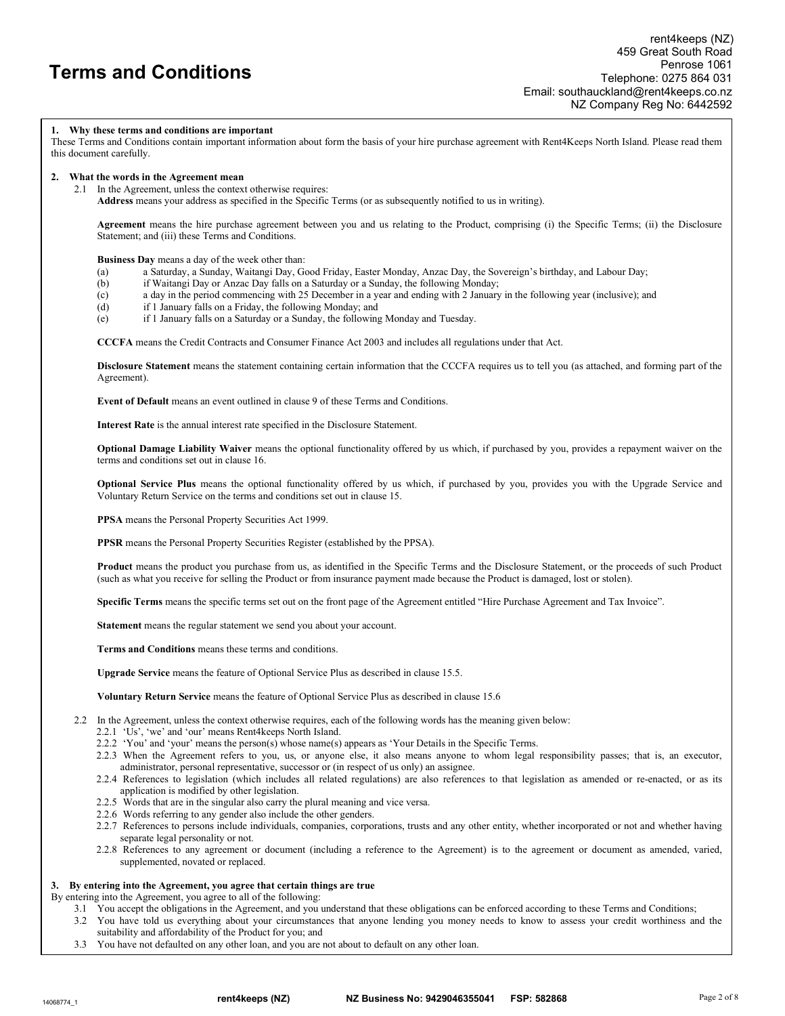#### 1. Why these terms and conditions are important

These Terms and Conditions contain important information about form the basis of your hire purchase agreement with Rent4Keeps North Island. Please read them this document carefully.

#### 2. What the words in the Agreement mean

2.1 In the Agreement, unless the context otherwise requires:

Address means your address as specified in the Specific Terms (or as subsequently notified to us in writing).

Agreement means the hire purchase agreement between you and us relating to the Product, comprising (i) the Specific Terms; (ii) the Disclosure Statement; and (iii) these Terms and Conditions.

Business Day means a day of the week other than:

- (a) a Saturday, a Sunday, Waitangi Day, Good Friday, Easter Monday, Anzac Day, the Sovereign's birthday, and Labour Day;
- (b) if Waitangi Day or Anzac Day falls on a Saturday or a Sunday, the following Monday;
- (c) a day in the period commencing with 25 December in a year and ending with 2 January in the following year (inclusive); and
- (d) if 1 January falls on a Friday, the following Monday; and
- (e) if 1 January falls on a Saturday or a Sunday, the following Monday and Tuesday.

CCCFA means the Credit Contracts and Consumer Finance Act 2003 and includes all regulations under that Act.

Disclosure Statement means the statement containing certain information that the CCCFA requires us to tell you (as attached, and forming part of the Agreement).

Event of Default means an event outlined in clause 9 of these Terms and Conditions.

Interest Rate is the annual interest rate specified in the Disclosure Statement.

Optional Damage Liability Waiver means the optional functionality offered by us which, if purchased by you, provides a repayment waiver on the terms and conditions set out in clause 16.

Optional Service Plus means the optional functionality offered by us which, if purchased by you, provides you with the Upgrade Service and Voluntary Return Service on the terms and conditions set out in clause 15.

PPSA means the Personal Property Securities Act 1999.

PPSR means the Personal Property Securities Register (established by the PPSA).

Product means the product you purchase from us, as identified in the Specific Terms and the Disclosure Statement, or the proceeds of such Product (such as what you receive for selling the Product or from insurance payment made because the Product is damaged, lost or stolen).

Specific Terms means the specific terms set out on the front page of the Agreement entitled "Hire Purchase Agreement and Tax Invoice".

Statement means the regular statement we send you about your account.

Terms and Conditions means these terms and conditions.

Upgrade Service means the feature of Optional Service Plus as described in clause 15.5.

Voluntary Return Service means the feature of Optional Service Plus as described in clause 15.6

- 2.2 In the Agreement, unless the context otherwise requires, each of the following words has the meaning given below:
	- 2.2.1 'Us', 'we' and 'our' means Rent4keeps North Island.
	- 2.2.2 'You' and 'your' means the person(s) whose name(s) appears as 'Your Details in the Specific Terms.
	- 2.2.3 When the Agreement refers to you, us, or anyone else, it also means anyone to whom legal responsibility passes; that is, an executor, administrator, personal representative, successor or (in respect of us only) an assignee.
	- 2.2.4 References to legislation (which includes all related regulations) are also references to that legislation as amended or re-enacted, or as its application is modified by other legislation.
	- 2.2.5 Words that are in the singular also carry the plural meaning and vice versa.
	- 2.2.6 Words referring to any gender also include the other genders.
	- 2.2.7 References to persons include individuals, companies, corporations, trusts and any other entity, whether incorporated or not and whether having separate legal personality or not.
	- 2.2.8 References to any agreement or document (including a reference to the Agreement) is to the agreement or document as amended, varied, supplemented, novated or replaced.

#### 3. By entering into the Agreement, you agree that certain things are true

By entering into the Agreement, you agree to all of the following:

- 3.1 You accept the obligations in the Agreement, and you understand that these obligations can be enforced according to these Terms and Conditions;
- 3.2 You have told us everything about your circumstances that anyone lending you money needs to know to assess your credit worthiness and the suitability and affordability of the Product for you; and
- 3.3 You have not defaulted on any other loan, and you are not about to default on any other loan.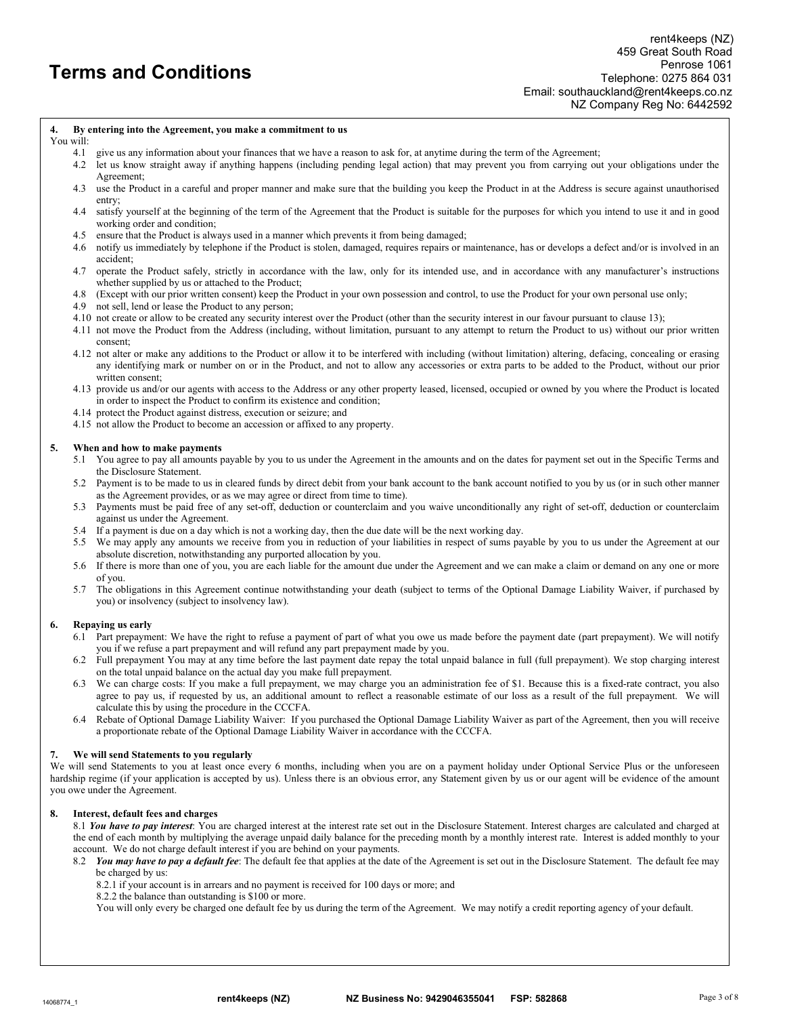#### 4. By entering into the Agreement, you make a commitment to us

#### You will:

- 4.1 give us any information about your finances that we have a reason to ask for, at anytime during the term of the Agreement;
- 4.2 let us know straight away if anything happens (including pending legal action) that may prevent you from carrying out your obligations under the Agreement;
- 4.3 use the Product in a careful and proper manner and make sure that the building you keep the Product in at the Address is secure against unauthorised entry;
- 4.4 satisfy yourself at the beginning of the term of the Agreement that the Product is suitable for the purposes for which you intend to use it and in good working order and condition;
- 4.5 ensure that the Product is always used in a manner which prevents it from being damaged;
- 4.6 notify us immediately by telephone if the Product is stolen, damaged, requires repairs or maintenance, has or develops a defect and/or is involved in an accident;
- 4.7 operate the Product safely, strictly in accordance with the law, only for its intended use, and in accordance with any manufacturer's instructions whether supplied by us or attached to the Product;
- 4.8 (Except with our prior written consent) keep the Product in your own possession and control, to use the Product for your own personal use only;
- 4.9 not sell, lend or lease the Product to any person;
- 4.10 not create or allow to be created any security interest over the Product (other than the security interest in our favour pursuant to clause 13);
- 4.11 not move the Product from the Address (including, without limitation, pursuant to any attempt to return the Product to us) without our prior written consent;
- 4.12 not alter or make any additions to the Product or allow it to be interfered with including (without limitation) altering, defacing, concealing or erasing any identifying mark or number on or in the Product, and not to allow any accessories or extra parts to be added to the Product, without our prior written consent;
- 4.13 provide us and/or our agents with access to the Address or any other property leased, licensed, occupied or owned by you where the Product is located in order to inspect the Product to confirm its existence and condition;
- 4.14 protect the Product against distress, execution or seizure; and
- 4.15 not allow the Product to become an accession or affixed to any property.

#### 5. When and how to make payments

- 5.1 You agree to pay all amounts payable by you to us under the Agreement in the amounts and on the dates for payment set out in the Specific Terms and the Disclosure Statement.
- 5.2 Payment is to be made to us in cleared funds by direct debit from your bank account to the bank account notified to you by us (or in such other manner as the Agreement provides, or as we may agree or direct from time to time).
- 5.3 Payments must be paid free of any set-off, deduction or counterclaim and you waive unconditionally any right of set-off, deduction or counterclaim against us under the Agreement.
- 5.4 If a payment is due on a day which is not a working day, then the due date will be the next working day.
- 5.5 We may apply any amounts we receive from you in reduction of your liabilities in respect of sums payable by you to us under the Agreement at our absolute discretion, notwithstanding any purported allocation by you.
- 5.6 If there is more than one of you, you are each liable for the amount due under the Agreement and we can make a claim or demand on any one or more of you.
- 5.7 The obligations in this Agreement continue notwithstanding your death (subject to terms of the Optional Damage Liability Waiver, if purchased by you) or insolvency (subject to insolvency law).

#### 6. Repaying us early

- 6.1 Part prepayment: We have the right to refuse a payment of part of what you owe us made before the payment date (part prepayment). We will notify you if we refuse a part prepayment and will refund any part prepayment made by you.
- 6.2 Full prepayment You may at any time before the last payment date repay the total unpaid balance in full (full prepayment). We stop charging interest on the total unpaid balance on the actual day you make full prepayment.
- 6.3 We can charge costs: If you make a full prepayment, we may charge you an administration fee of \$1. Because this is a fixed-rate contract, you also agree to pay us, if requested by us, an additional amount to reflect a reasonable estimate of our loss as a result of the full prepayment. We will calculate this by using the procedure in the CCCFA.
- 6.4 Rebate of Optional Damage Liability Waiver: If you purchased the Optional Damage Liability Waiver as part of the Agreement, then you will receive a proportionate rebate of the Optional Damage Liability Waiver in accordance with the CCCFA.

#### We will send Statements to you regularly

We will send Statements to you at least once every 6 months, including when you are on a payment holiday under Optional Service Plus or the unforeseen hardship regime (if your application is accepted by us). Unless there is an obvious error, any Statement given by us or our agent will be evidence of the amount you owe under the Agreement.

#### 8. Interest, default fees and charges

8.1 You have to pay interest: You are charged interest at the interest rate set out in the Disclosure Statement. Interest charges are calculated and charged at the end of each month by multiplying the average unpaid daily balance for the preceding month by a monthly interest rate. Interest is added monthly to your account. We do not charge default interest if you are behind on your payments.

- 8.2 You may have to pay a default fee: The default fee that applies at the date of the Agreement is set out in the Disclosure Statement. The default fee may be charged by us:
	- 8.2.1 if your account is in arrears and no payment is received for 100 days or more; and
	- 8.2.2 the balance than outstanding is \$100 or more.

You will only every be charged one default fee by us during the term of the Agreement. We may notify a credit reporting agency of your default.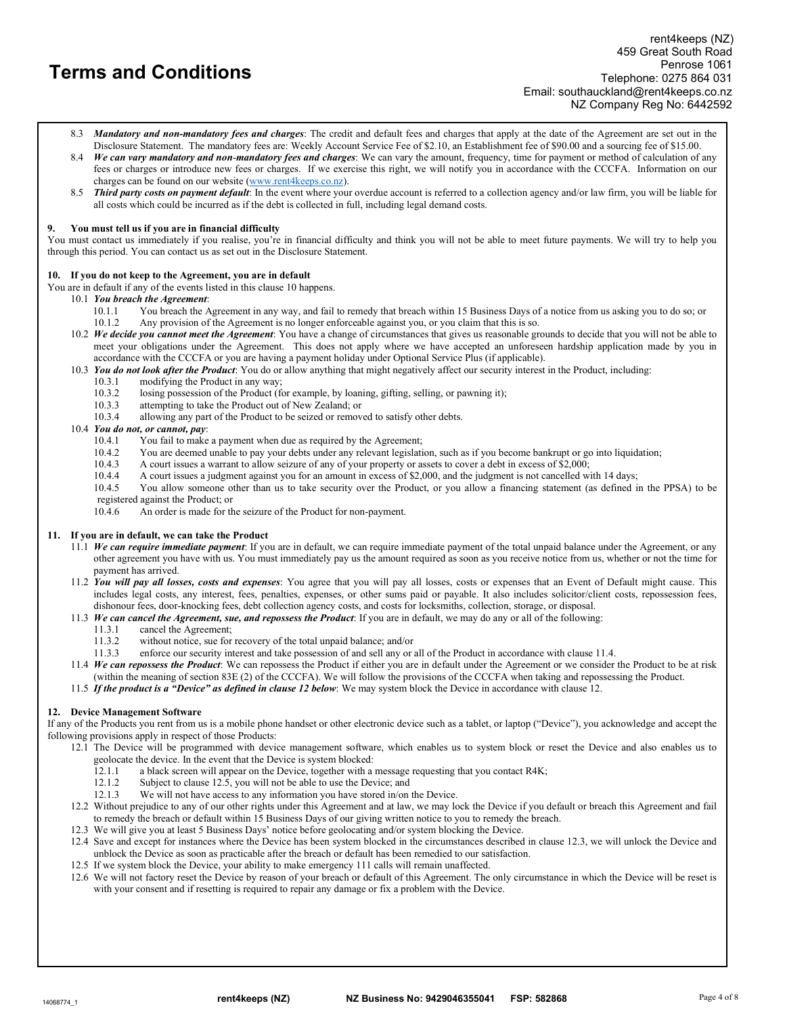- 8.3 Mandatory and non-mandatory fees and charges: The credit and default fees and charges that apply at the date of the Agreement are set out in the Disclosure Statement. The mandatory fees are: Weekly Account Service Fee of \$2.10, an Establishment fee of \$90.00 and a sourcing fee of \$15.00.
- 8.4 We can vary mandatory and non-mandatory fees and charges: We can vary the amount, frequency, time for payment or method of calculation of any fees or charges or introduce new fees or charges. If we exercise this right, we will notify you in accordance with the CCCFA. Information on our charges can be found on our website (www.rent4keeps.co.nz).
- 8.5 Third party costs on payment default: In the event where your overdue account is referred to a collection agency and/or law firm, you will be liable for all costs which could be incurred as if the debt is collected in full, including legal demand costs.

## You must tell us if you are in financial difficulty

You must contact us immediately if you realise, you're in financial difficulty and think you will not be able to meet future payments. We will try to help you through this period. You can contact us as set out in the Disclosure Statement.

## 10. If you do not keep to the Agreement, you are in default

- You are in default if any of the events listed in this clause 10 happens.
	- 10.1 You breach the Agreement:
		- 10.1.1 You breach the Agreement in any way, and fail to remedy that breach within 15 Business Days of a notice from us asking you to do so; or 10.1.2 Any provision of the Agreement is no longer enforceable against you, or Any provision of the Agreement is no longer enforceable against you, or you claim that this is so.
	- 10.2 We decide you cannot meet the Agreement: You have a change of circumstances that gives us reasonable grounds to decide that you will not be able to meet your obligations under the Agreement. This does not apply where we have accepted an unforeseen hardship application made by you in accordance with the CCCFA or you are having a payment holiday under Optional Service Plus (if applicable).
	- 10.3 You do not look after the Product: You do or allow anything that might negatively affect our security interest in the Product, including:
		- 10.3.1 modifying the Product in any way;<br>10.3.2 losing possession of the Product (for
		- losing possession of the Product (for example, by loaning, gifting, selling, or pawning it);
		- 10.3.3 attempting to take the Product out of New Zealand; or 10.3.4 allowing any part of the Product to be seized or remov
		- allowing any part of the Product to be seized or removed to satisfy other debts.

## 10.4 You do not, or cannot, pay:

- 10.4.1 You fail to make a payment when due as required by the Agreement;
- 10.4.2 You are deemed unable to pay your debts under any relevant legislation, such as if you become bankrupt or go into liquidation;<br>10.4.3 A court issues a warrant to allow seizure of any of your property or assets to co
- 10.4.3 A court issues a warrant to allow seizure of any of your property or assets to cover a debt in excess of \$2,000;
- 10.4.4 A court issues a judgment against you for an amount in excess of \$2,000, and the judgment is not cancelled with 14 days;
- 10.4.5 You allow someone other than us to take security over the Product, or you allow a financing statement (as defined in the PPSA) to be registered against the Product; or

10.4.6 An order is made for the seizure of the Product for non-payment.

#### 11. If you are in default, we can take the Product

- 11.1 We can require immediate payment: If you are in default, we can require immediate payment of the total unpaid balance under the Agreement, or any other agreement you have with us. You must immediately pay us the amount required as soon as you receive notice from us, whether or not the time for payment has arrived.
- 11.2 You will pay all losses, costs and expenses: You agree that you will pay all losses, costs or expenses that an Event of Default might cause. This includes legal costs, any interest, fees, penalties, expenses, or other sums paid or payable. It also includes solicitor/client costs, repossession fees, dishonour fees, door-knocking fees, debt collection agency costs, and costs for locksmiths, collection, storage, or disposal.
- 11.3 We can cancel the Agreement, sue, and repossess the Product: If you are in default, we may do any or all of the following:
	- 11.3.1 cancel the Agreement;<br>11.3.2 without notice, sue for
		- without notice, sue for recovery of the total unpaid balance; and/or
	- 11.3.3 enforce our security interest and take possession of and sell any or all of the Product in accordance with clause 11.4.
- 11.4 We can repossess the Product: We can repossess the Product if either you are in default under the Agreement or we consider the Product to be at risk (within the meaning of section 83E (2) of the CCCFA). We will follow the provisions of the CCCFA when taking and repossessing the Product.
- 11.5 If the product is a "Device" as defined in clause 12 below: We may system block the Device in accordance with clause 12.

#### 12. Device Management Software

If any of the Products you rent from us is a mobile phone handset or other electronic device such as a tablet, or laptop ("Device"), you acknowledge and accept the following provisions apply in respect of those Products:

- 12.1 The Device will be programmed with device management software, which enables us to system block or reset the Device and also enables us to geolocate the device. In the event that the Device is system blocked:
	- 12.1.1 a black screen will appear on the Device, together with a message requesting that you contact R4K;<br>12.1.2 Subject to clause 12.5, you will not be able to use the Device; and
	- Subject to clause 12.5, you will not be able to use the Device; and
	- 12.1.3 We will not have access to any information you have stored in/on the Device.
- 12.2 Without prejudice to any of our other rights under this Agreement and at law, we may lock the Device if you default or breach this Agreement and fail to remedy the breach or default within 15 Business Days of our giving written notice to you to remedy the breach.
- 12.3 We will give you at least 5 Business Days' notice before geolocating and/or system blocking the Device.
- 12.4 Save and except for instances where the Device has been system blocked in the circumstances described in clause 12.3, we will unlock the Device and unblock the Device as soon as practicable after the breach or default has been remedied to our satisfaction.
- 12.5 If we system block the Device, your ability to make emergency 111 calls will remain unaffected.
- 12.6 We will not factory reset the Device by reason of your breach or default of this Agreement. The only circumstance in which the Device will be reset is with your consent and if resetting is required to repair any damage or fix a problem with the Device.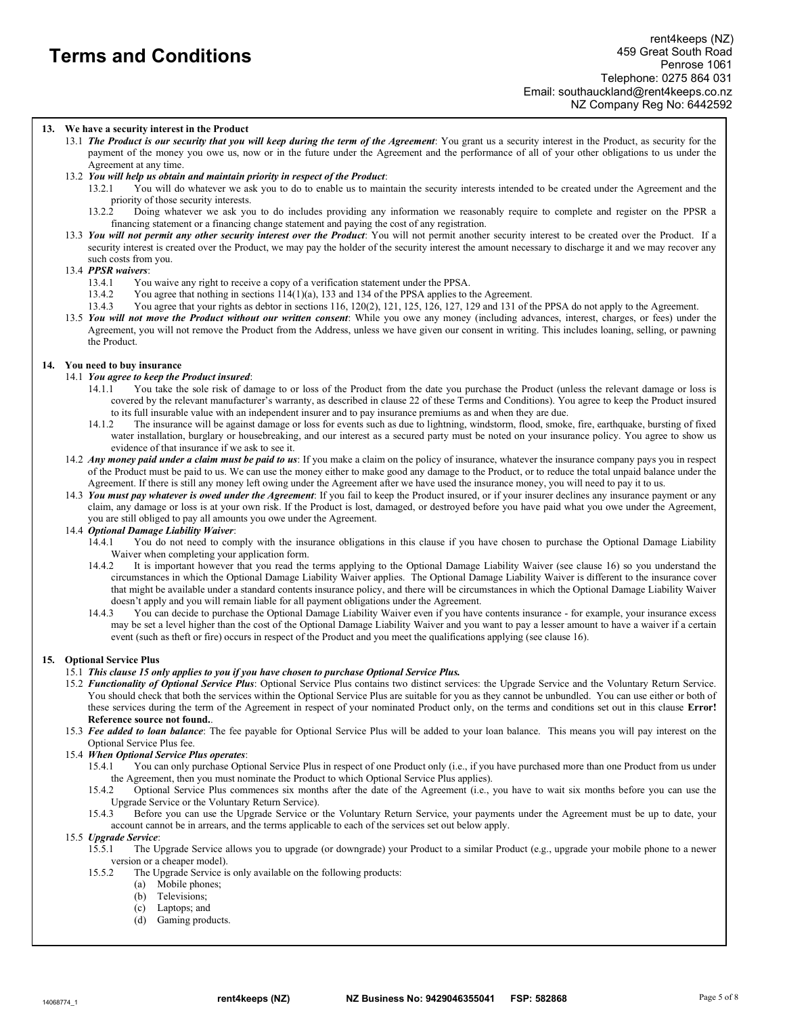## 13. We have a security interest in the Product

- 13.1 The Product is our security that you will keep during the term of the Agreement: You grant us a security interest in the Product, as security for the payment of the money you owe us, now or in the future under the Agreement and the performance of all of your other obligations to us under the Agreement at any time.
- 13.2 You will help us obtain and maintain priority in respect of the Product:
	- 13.2.1 You will do whatever we ask you to do to enable us to maintain the security interests intended to be created under the Agreement and the priority of those security interests.
	- 13.2.2 Doing whatever we ask you to do includes providing any information we reasonably require to complete and register on the PPSR a financing statement or a financing change statement and paying the cost of any registration.
- 13.3 You will not permit any other security interest over the Product: You will not permit another security interest to be created over the Product. If a security interest is created over the Product, we may pay the holder of the security interest the amount necessary to discharge it and we may recover any such costs from you.

## 13.4 PPSR waivers:

- 13.4.1 You waive any right to receive a copy of a verification statement under the PPSA.
- 13.4.2 You agree that nothing in sections 114(1)(a), 133 and 134 of the PPSA applies to the Agreement.
- 13.4.3 You agree that your rights as debtor in sections 116, 120(2), 121, 125, 126, 127, 129 and 131 of the PPSA do not apply to the Agreement.
- 13.5 You will not move the Product without our written consent: While you owe any money (including advances, interest, charges, or fees) under the Agreement, you will not remove the Product from the Address, unless we have given our consent in writing. This includes loaning, selling, or pawning the Product.

## 14. You need to buy insurance

## 14.1 You agree to keep the Product insured:

- 14.1.1 You take the sole risk of damage to or loss of the Product from the date you purchase the Product (unless the relevant damage or loss is covered by the relevant manufacturer's warranty, as described in clause 22 of these Terms and Conditions). You agree to keep the Product insured to its full insurable value with an independent insurer and to pay insurance premiums as and when they are due.
- 14.1.2 The insurance will be against damage or loss for events such as due to lightning, windstorm, flood, smoke, fire, earthquake, bursting of fixed water installation, burglary or housebreaking, and our interest as a secured party must be noted on your insurance policy. You agree to show us evidence of that insurance if we ask to see it.
- 14.2 Any money paid under a claim must be paid to us: If you make a claim on the policy of insurance, whatever the insurance company pays you in respect of the Product must be paid to us. We can use the money either to make good any damage to the Product, or to reduce the total unpaid balance under the Agreement. If there is still any money left owing under the Agreement after we have used the insurance money, you will need to pay it to us.
- 14.3 You must pay whatever is owed under the Agreement: If you fail to keep the Product insured, or if your insurer declines any insurance payment or any claim, any damage or loss is at your own risk. If the Product is lost, damaged, or destroyed before you have paid what you owe under the Agreement, you are still obliged to pay all amounts you owe under the Agreement.

#### 14.4 Optional Damage Liability Waiver:

- 14.4.1 You do not need to comply with the insurance obligations in this clause if you have chosen to purchase the Optional Damage Liability Waiver when completing your application form.
- 14.4.2 It is important however that you read the terms applying to the Optional Damage Liability Waiver (see clause 16) so you understand the circumstances in which the Optional Damage Liability Waiver applies. The Optional Damage Liability Waiver is different to the insurance cover that might be available under a standard contents insurance policy, and there will be circumstances in which the Optional Damage Liability Waiver doesn't apply and you will remain liable for all payment obligations under the Agreement.<br>1443 You can decide to purchase the Optional Damage Liability Waiver even if you have
- You can decide to purchase the Optional Damage Liability Waiver even if you have contents insurance for example, your insurance excess may be set a level higher than the cost of the Optional Damage Liability Waiver and you want to pay a lesser amount to have a waiver if a certain event (such as theft or fire) occurs in respect of the Product and you meet the qualifications applying (see clause 16).

#### 15. Optional Service Plus

#### 15.1 This clause 15 only applies to you if you have chosen to purchase Optional Service Plus.

- 15.2 Functionality of Optional Service Plus: Optional Service Plus contains two distinct services: the Upgrade Service and the Voluntary Return Service. You should check that both the services within the Optional Service Plus are suitable for you as they cannot be unbundled. You can use either or both of these services during the term of the Agreement in respect of your nominated Product only, on the terms and conditions set out in this clause Error! Reference source not found..
- 15.3 Fee added to loan balance: The fee payable for Optional Service Plus will be added to your loan balance. This means you will pay interest on the Optional Service Plus fee.
- 15.4 When Optional Service Plus operates:
	- 15.4.1 You can only purchase Optional Service Plus in respect of one Product only (i.e., if you have purchased more than one Product from us under the Agreement, then you must nominate the Product to which Optional Service Plus applies).
	- 15.4.2 Optional Service Plus commences six months after the date of the Agreement (i.e., you have to wait six months before you can use the Upgrade Service or the Voluntary Return Service).
	- 15.4.3 Before you can use the Upgrade Service or the Voluntary Return Service, your payments under the Agreement must be up to date, your account cannot be in arrears, and the terms applicable to each of the services set out below apply.

#### 15.5 Upgrade Service:

- 15.5.1 The Upgrade Service allows you to upgrade (or downgrade) your Product to a similar Product (e.g., upgrade your mobile phone to a newer version or a cheaper model).
- 15.5.2 The Upgrade Service is only available on the following products:
	- (a) Mobile phones;
	- (b) Televisions;
	- (c) Laptops; and
	- (d) Gaming products.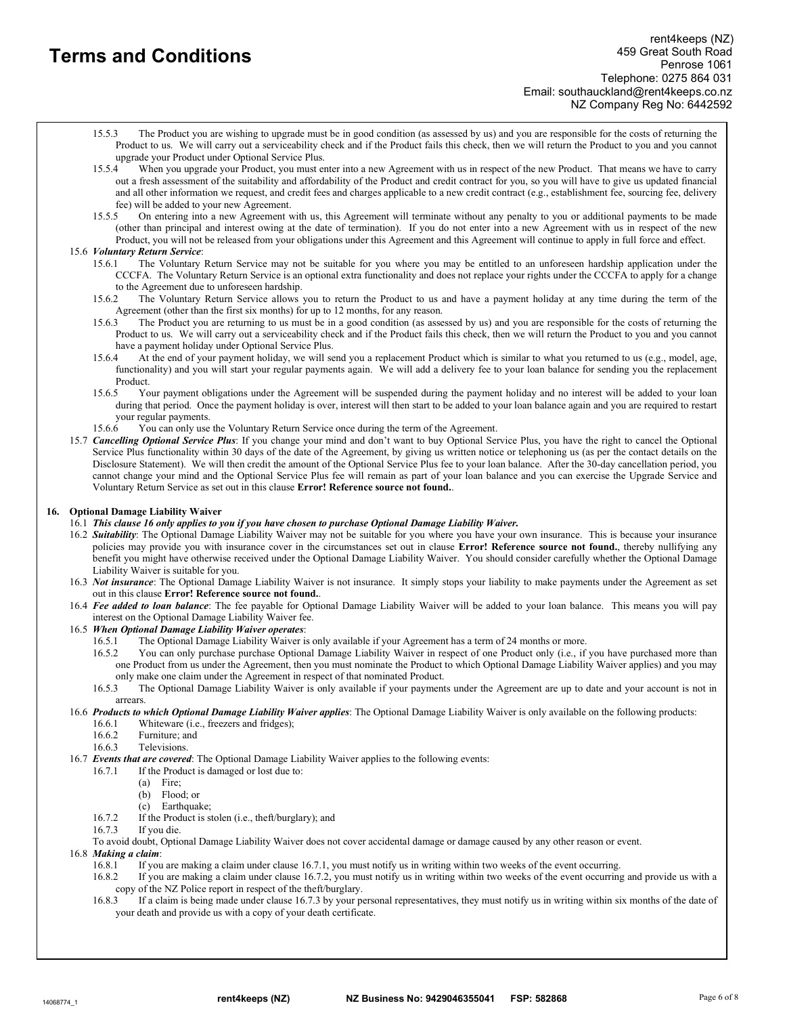- 15.5.3 The Product you are wishing to upgrade must be in good condition (as assessed by us) and you are responsible for the costs of returning the Product to us. We will carry out a serviceability check and if the Product fails this check, then we will return the Product to you and you cannot upgrade your Product under Optional Service Plus.
- 15.5.4 When you upgrade your Product, you must enter into a new Agreement with us in respect of the new Product. That means we have to carry out a fresh assessment of the suitability and affordability of the Product and credit contract for you, so you will have to give us updated financial and all other information we request, and credit fees and charges applicable to a new credit contract (e.g., establishment fee, sourcing fee, delivery fee) will be added to your new Agreement.
- 15.5.5 On entering into a new Agreement with us, this Agreement will terminate without any penalty to you or additional payments to be made (other than principal and interest owing at the date of termination). If you do not enter into a new Agreement with us in respect of the new Product, you will not be released from your obligations under this Agreement and this Agreement will continue to apply in full force and effect.

## 15.6 Voluntary Return Service:

- 15.6.1 The Voluntary Return Service may not be suitable for you where you may be entitled to an unforeseen hardship application under the CCCFA. The Voluntary Return Service is an optional extra functionality and does not replace your rights under the CCCFA to apply for a change to the Agreement due to unforeseen hardship.
- 15.6.2 The Voluntary Return Service allows you to return the Product to us and have a payment holiday at any time during the term of the Agreement (other than the first six months) for up to 12 months, for any reason.
- 15.6.3 The Product you are returning to us must be in a good condition (as assessed by us) and you are responsible for the costs of returning the Product to us. We will carry out a serviceability check and if the Product fails this check, then we will return the Product to you and you cannot have a payment holiday under Optional Service Plus.
- 15.6.4 At the end of your payment holiday, we will send you a replacement Product which is similar to what you returned to us (e.g., model, age, functionality) and you will start your regular payments again. We will add a delivery fee to your loan balance for sending you the replacement
- Product.<br>15.6.5 Yo 15.6.5 Your payment obligations under the Agreement will be suspended during the payment holiday and no interest will be added to your loan during that period. Once the payment holiday is over, interest will then start to be added to your loan balance again and you are required to restart your regular payments.
- 15.6.6 You can only use the Voluntary Return Service once during the term of the Agreement.
- 15.7 Cancelling Optional Service Plus: If you change your mind and don't want to buy Optional Service Plus, you have the right to cancel the Optional Service Plus functionality within 30 days of the date of the Agreement, by giving us written notice or telephoning us (as per the contact details on the Disclosure Statement). We will then credit the amount of the Optional Service Plus fee to your loan balance. After the 30-day cancellation period, you cannot change your mind and the Optional Service Plus fee will remain as part of your loan balance and you can exercise the Upgrade Service and Voluntary Return Service as set out in this clause Error! Reference source not found..

## 16. Optional Damage Liability Waiver

- 16.1 This clause 16 only applies to you if you have chosen to purchase Optional Damage Liability Waiver.
- 16.2 Suitability: The Optional Damage Liability Waiver may not be suitable for you where you have your own insurance. This is because your insurance policies may provide you with insurance cover in the circumstances set out in clause Error! Reference source not found., thereby nullifying any benefit you might have otherwise received under the Optional Damage Liability Waiver. You should consider carefully whether the Optional Damage Liability Waiver is suitable for you.
- 16.3 Not insurance: The Optional Damage Liability Waiver is not insurance. It simply stops your liability to make payments under the Agreement as set out in this clause Error! Reference source not found..
- 16.4 Fee added to loan balance: The fee payable for Optional Damage Liability Waiver will be added to your loan balance. This means you will pay interest on the Optional Damage Liability Waiver fee.
- 16.5 When Optional Damage Liability Waiver operates:
	- 16.5.1 The Optional Damage Liability Waiver is only available if your Agreement has a term of 24 months or more.
	- 16.5.2 You can only purchase purchase Optional Damage Liability Waiver in respect of one Product only (i.e., if you have purchased more than one Product from us under the Agreement, then you must nominate the Product to which Optional Damage Liability Waiver applies) and you may only make one claim under the Agreement in respect of that nominated Product.
	- 16.5.3 The Optional Damage Liability Waiver is only available if your payments under the Agreement are up to date and your account is not in arrears.
- 16.6 Products to which Optional Damage Liability Waiver applies: The Optional Damage Liability Waiver is only available on the following products:
	- 16.6.1 Whiteware (i.e., freezers and fridges);<br>16.6.2 Furniture; and
	- Furniture: and
	- 16.6.3 Televisions.
- 16.7 Events that are covered: The Optional Damage Liability Waiver applies to the following events:
	- 16.7.1 If the Product is damaged or lost due to:
		- (a) Fire;
		- (b) Flood; or
		- (c) Earthquake;
	- 16.7.2 If the Product is stolen (i.e., theft/burglary); and
	- 16.7.3 If you die.

To avoid doubt, Optional Damage Liability Waiver does not cover accidental damage or damage caused by any other reason or event.

- 16.8 Making a claim:
	- 16.8.1 If you are making a claim under clause 16.7.1, you must notify us in writing within two weeks of the event occurring.
	- 16.8.2 If you are making a claim under clause 16.7.2, you must notify us in writing within two weeks of the event occurring and provide us with a copy of the NZ Police report in respect of the theft/burglary.
	- 16.8.3 If a claim is being made under clause 16.7.3 by your personal representatives, they must notify us in writing within six months of the date of your death and provide us with a copy of your death certificate.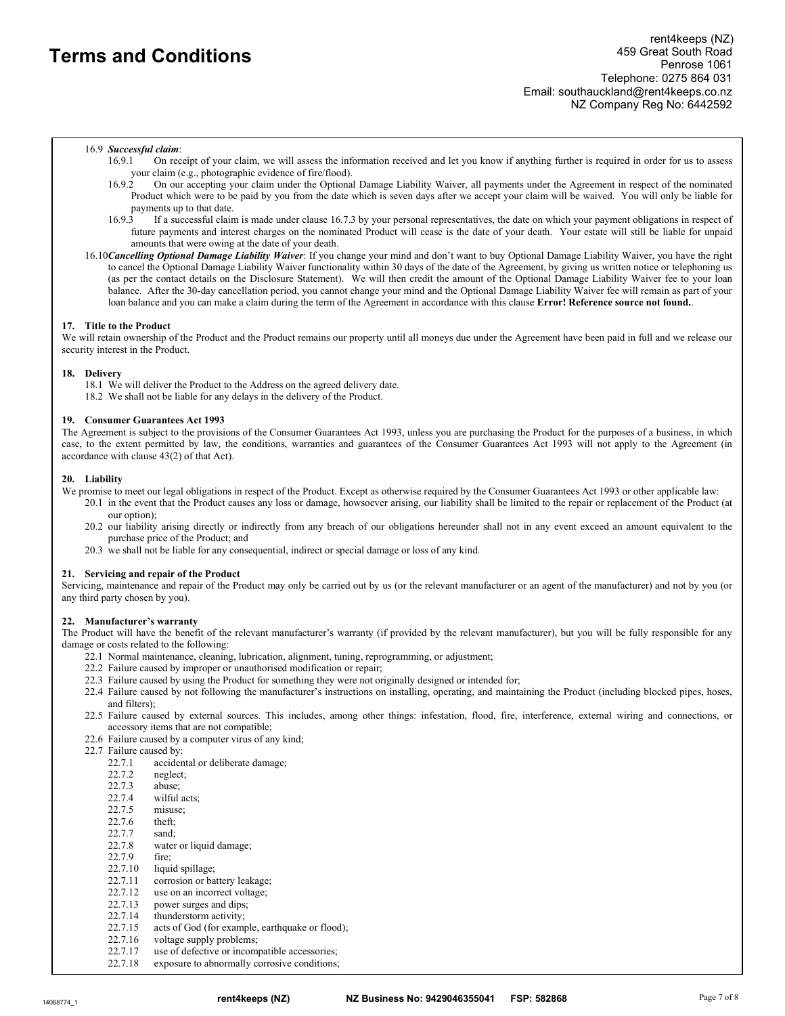## 16.9 Successful claim:

- 16.9.1 On receipt of your claim, we will assess the information received and let you know if anything further is required in order for us to assess your claim (e.g., photographic evidence of fire/flood).<br>16.9.2 On our accenting your claim under the Optiona
- 16.9.2 On our accepting your claim under the Optional Damage Liability Waiver, all payments under the Agreement in respect of the nominated Product which were to be paid by you from the date which is seven days after we accept your claim will be waived. You will only be liable for payments up to that date.<br>16.9.3 If a successful claim
- 16.9.3 If a successful claim is made under clause 16.7.3 by your personal representatives, the date on which your payment obligations in respect of future payments and interest charges on the nominated Product will cease is the date of your death. Your estate will still be liable for unpaid amounts that were owing at the date of your death.
- 16.10 Cancelling Optional Damage Liability Waiver: If you change your mind and don't want to buy Optional Damage Liability Waiver, you have the right to cancel the Optional Damage Liability Waiver functionality within 30 days of the date of the Agreement, by giving us written notice or telephoning us (as per the contact details on the Disclosure Statement). We will then credit the amount of the Optional Damage Liability Waiver fee to your loan balance. After the 30-day cancellation period, you cannot change your mind and the Optional Damage Liability Waiver fee will remain as part of your loan balance and you can make a claim during the term of the Agreement in accordance with this clause Error! Reference source not found..

## 17. Title to the Product

We will retain ownership of the Product and the Product remains our property until all moneys due under the Agreement have been paid in full and we release our security interest in the Product.

#### 18. Delivery

18.1 We will deliver the Product to the Address on the agreed delivery date. 18.2 We shall not be liable for any delays in the delivery of the Product.

## 19. Consumer Guarantees Act 1993

The Agreement is subject to the provisions of the Consumer Guarantees Act 1993, unless you are purchasing the Product for the purposes of a business, in which case, to the extent permitted by law, the conditions, warranties and guarantees of the Consumer Guarantees Act 1993 will not apply to the Agreement (in accordance with clause 43(2) of that Act).

## 20. Liability

We promise to meet our legal obligations in respect of the Product. Except as otherwise required by the Consumer Guarantees Act 1993 or other applicable law:

- 20.1 in the event that the Product causes any loss or damage, howsoever arising, our liability shall be limited to the repair or replacement of the Product (at our option);
- 20.2 our liability arising directly or indirectly from any breach of our obligations hereunder shall not in any event exceed an amount equivalent to the purchase price of the Product; and
- 20.3 we shall not be liable for any consequential, indirect or special damage or loss of any kind.

#### 21. Servicing and repair of the Product

Servicing, maintenance and repair of the Product may only be carried out by us (or the relevant manufacturer or an agent of the manufacturer) and not by you (or any third party chosen by you).

## 22. Manufacturer's warranty

The Product will have the benefit of the relevant manufacturer's warranty (if provided by the relevant manufacturer), but you will be fully responsible for any damage or costs related to the following:

- 22.1 Normal maintenance, cleaning, lubrication, alignment, tuning, reprogramming, or adjustment;
- 22.2 Failure caused by improper or unauthorised modification or repair;
- 22.3 Failure caused by using the Product for something they were not originally designed or intended for;
- 22.4 Failure caused by not following the manufacturer's instructions on installing, operating, and maintaining the Product (including blocked pipes, hoses, and filters);
- 22.5 Failure caused by external sources. This includes, among other things: infestation, flood, fire, interference, external wiring and connections, or accessory items that are not compatible;
- 22.6 Failure caused by a computer virus of any kind;
- 22.7 Failure caused by:<br>22.7.1 accider
	- accidental or deliberate damage;
	- 22.7.2 neglect;
	- 22.7.3 abuse;
	- 22.7.4 wilful acts;<br>22.7.5 misuse;
	- misuse:
	- 22.7.6 theft;
	- 22.7.7 sand;
	- 22.7.8 water or liquid damage;
	- 22.7.9 fire;
	- 22.7.10 liquid spillage;<br>22.7.11 corrosion or ba
	- corrosion or battery leakage;
	- 22.7.12 use on an incorrect voltage;
	- 22.7.13 power surges and dips;
	- 22.7.14 thunderstorm activity;
	- 22.7.15 acts of God (for example, earthquake or flood);
	- 22.7.16 voltage supply problems;<br>22.7.17 use of defective or incom
	- use of defective or incompatible accessories;
	- 22.7.18 exposure to abnormally corrosive conditions;